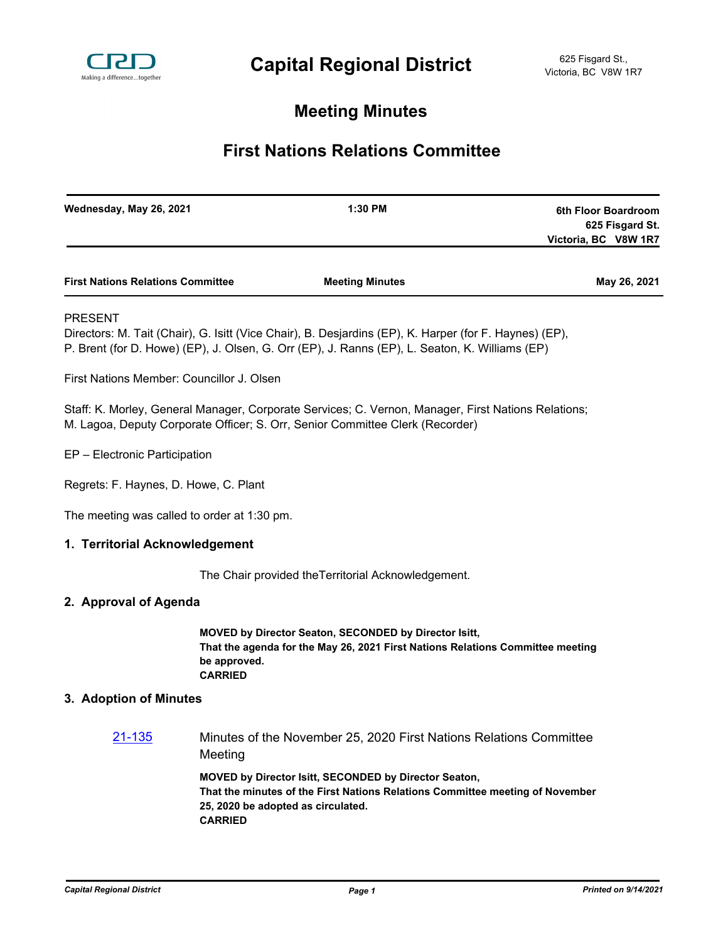

# **Meeting Minutes**

# **First Nations Relations Committee**

| Wednesday, May 26, 2021                     |                                                                                                                                                                                                       | 1:30 PM                                                                                                                                                                                                  | 6th Floor Boardroom<br>625 Fisgard St.<br>Victoria, BC V8W 1R7 |
|---------------------------------------------|-------------------------------------------------------------------------------------------------------------------------------------------------------------------------------------------------------|----------------------------------------------------------------------------------------------------------------------------------------------------------------------------------------------------------|----------------------------------------------------------------|
| <b>First Nations Relations Committee</b>    |                                                                                                                                                                                                       | <b>Meeting Minutes</b>                                                                                                                                                                                   | May 26, 2021                                                   |
| <b>PRESENT</b>                              |                                                                                                                                                                                                       | Directors: M. Tait (Chair), G. Isitt (Vice Chair), B. Desjardins (EP), K. Harper (for F. Haynes) (EP),<br>P. Brent (for D. Howe) (EP), J. Olsen, G. Orr (EP), J. Ranns (EP), L. Seaton, K. Williams (EP) |                                                                |
| First Nations Member: Councillor J. Olsen   |                                                                                                                                                                                                       |                                                                                                                                                                                                          |                                                                |
|                                             |                                                                                                                                                                                                       | Staff: K. Morley, General Manager, Corporate Services; C. Vernon, Manager, First Nations Relations;<br>M. Lagoa, Deputy Corporate Officer; S. Orr, Senior Committee Clerk (Recorder)                     |                                                                |
| EP - Electronic Participation               |                                                                                                                                                                                                       |                                                                                                                                                                                                          |                                                                |
| Regrets: F. Haynes, D. Howe, C. Plant       |                                                                                                                                                                                                       |                                                                                                                                                                                                          |                                                                |
| The meeting was called to order at 1:30 pm. |                                                                                                                                                                                                       |                                                                                                                                                                                                          |                                                                |
| 1. Territorial Acknowledgement              |                                                                                                                                                                                                       |                                                                                                                                                                                                          |                                                                |
|                                             |                                                                                                                                                                                                       | The Chair provided the Territorial Acknowledgement.                                                                                                                                                      |                                                                |
| 2. Approval of Agenda                       |                                                                                                                                                                                                       |                                                                                                                                                                                                          |                                                                |
|                                             | be approved.<br><b>CARRIED</b>                                                                                                                                                                        | MOVED by Director Seaton, SECONDED by Director Isitt,<br>That the agenda for the May 26, 2021 First Nations Relations Committee meeting                                                                  |                                                                |
| 3. Adoption of Minutes                      |                                                                                                                                                                                                       |                                                                                                                                                                                                          |                                                                |
| <u>21-135</u>                               | Meeting                                                                                                                                                                                               | Minutes of the November 25, 2020 First Nations Relations Committee                                                                                                                                       |                                                                |
|                                             | <b>MOVED by Director Isitt, SECONDED by Director Seaton,</b><br>That the minutes of the First Nations Relations Committee meeting of November<br>25, 2020 be adopted as circulated.<br><b>CARRIED</b> |                                                                                                                                                                                                          |                                                                |
|                                             |                                                                                                                                                                                                       |                                                                                                                                                                                                          |                                                                |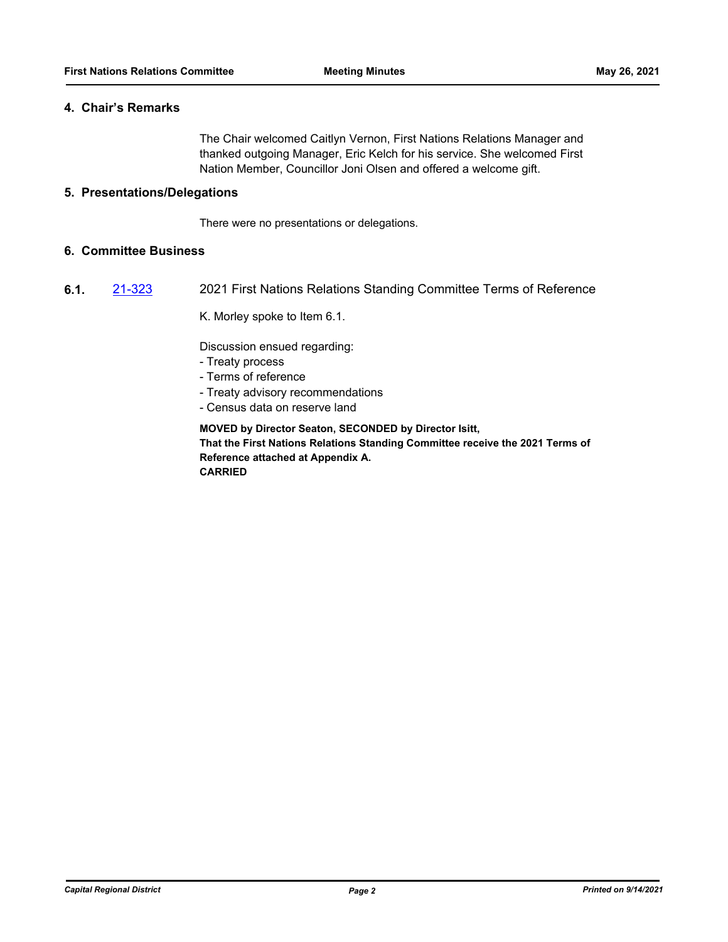### **4. Chair's Remarks**

The Chair welcomed Caitlyn Vernon, First Nations Relations Manager and thanked outgoing Manager, Eric Kelch for his service. She welcomed First Nation Member, Councillor Joni Olsen and offered a welcome gift.

## **5. Presentations/Delegations**

There were no presentations or delegations.

## **6. Committee Business**

**6.1.** [21-323](http://crd.ca.legistar.com/gateway.aspx?m=l&id=/matter.aspx?key=8272) 2021 First Nations Relations Standing Committee Terms of Reference

K. Morley spoke to Item 6.1.

Discussion ensued regarding:

- Treaty process
- Terms of reference
- Treaty advisory recommendations
- Census data on reserve land

**MOVED by Director Seaton, SECONDED by Director Isitt, That the First Nations Relations Standing Committee receive the 2021 Terms of Reference attached at Appendix A. CARRIED**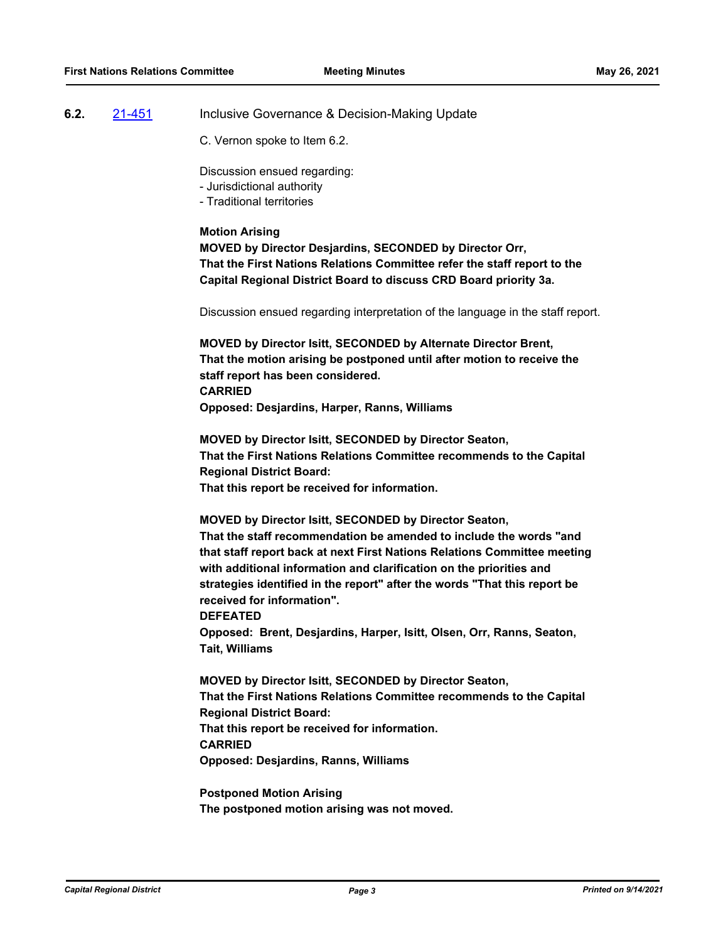### **6.2.** [21-451](http://crd.ca.legistar.com/gateway.aspx?m=l&id=/matter.aspx?key=8399) Inclusive Governance & Decision-Making Update

C. Vernon spoke to Item 6.2.

Discussion ensued regarding:

- Jurisdictional authority
- Traditional territories

#### **Motion Arising**

**MOVED by Director Desjardins, SECONDED by Director Orr, That the First Nations Relations Committee refer the staff report to the Capital Regional District Board to discuss CRD Board priority 3a.** 

Discussion ensued regarding interpretation of the language in the staff report.

**MOVED by Director Isitt, SECONDED by Alternate Director Brent, That the motion arising be postponed until after motion to receive the staff report has been considered. CARRIED Opposed: Desjardins, Harper, Ranns, Williams**

**MOVED by Director Isitt, SECONDED by Director Seaton, That the First Nations Relations Committee recommends to the Capital Regional District Board: That this report be received for information.**

# **MOVED by Director Isitt, SECONDED by Director Seaton,**

**That the staff recommendation be amended to include the words "and that staff report back at next First Nations Relations Committee meeting with additional information and clarification on the priorities and strategies identified in the report" after the words "That this report be received for information".**

**DEFEATED**

**Opposed: Brent, Desjardins, Harper, Isitt, Olsen, Orr, Ranns, Seaton, Tait, Williams**

**MOVED by Director Isitt, SECONDED by Director Seaton, That the First Nations Relations Committee recommends to the Capital Regional District Board: That this report be received for information. CARRIED**

**Opposed: Desjardins, Ranns, Williams**

**Postponed Motion Arising The postponed motion arising was not moved.**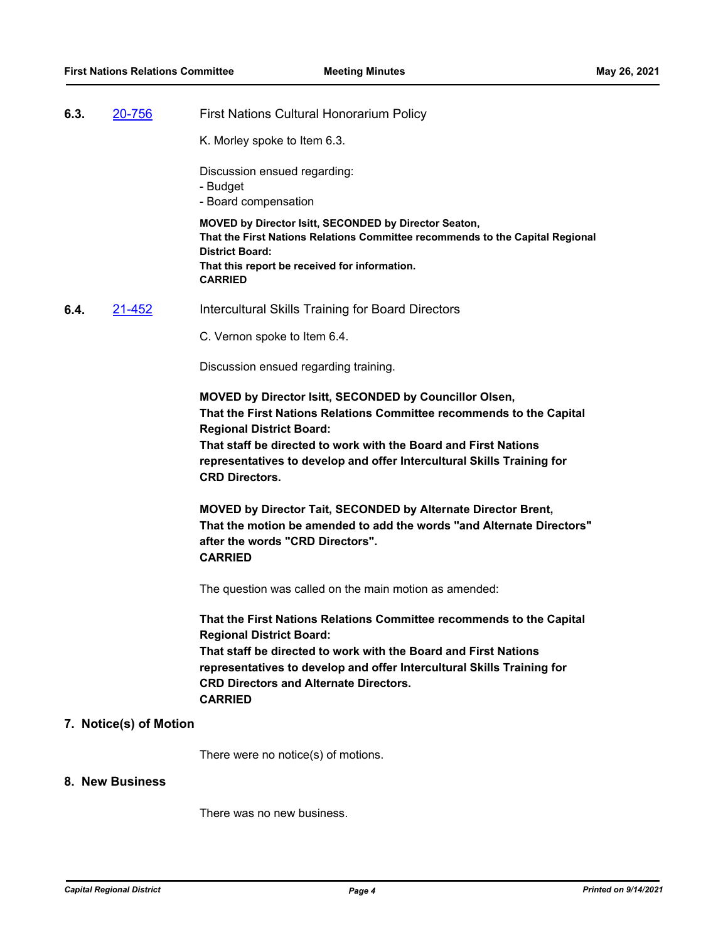**6.3.** [20-756](http://crd.ca.legistar.com/gateway.aspx?m=l&id=/matter.aspx?key=7888) First Nations Cultural Honorarium Policy

K. Morley spoke to Item 6.3.

Discussion ensued regarding:

- Budget
- Board compensation

**MOVED by Director Isitt, SECONDED by Director Seaton, That the First Nations Relations Committee recommends to the Capital Regional District Board: That this report be received for information. CARRIED**

**6.4.** [21-452](http://crd.ca.legistar.com/gateway.aspx?m=l&id=/matter.aspx?key=8400) Intercultural Skills Training for Board Directors

C. Vernon spoke to Item 6.4.

Discussion ensued regarding training.

**MOVED by Director Isitt, SECONDED by Councillor Olsen, That the First Nations Relations Committee recommends to the Capital Regional District Board: That staff be directed to work with the Board and First Nations representatives to develop and offer Intercultural Skills Training for CRD Directors.**

**MOVED by Director Tait, SECONDED by Alternate Director Brent, That the motion be amended to add the words "and Alternate Directors" after the words "CRD Directors". CARRIED**

The question was called on the main motion as amended:

**That the First Nations Relations Committee recommends to the Capital Regional District Board: That staff be directed to work with the Board and First Nations representatives to develop and offer Intercultural Skills Training for CRD Directors and Alternate Directors. CARRIED**

#### **7. Notice(s) of Motion**

There were no notice(s) of motions.

#### **8. New Business**

There was no new business.